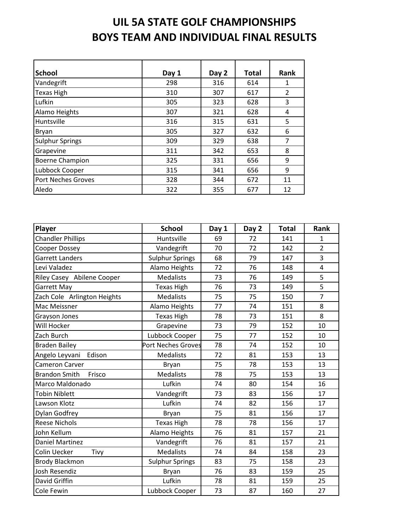## **UIL 5A STATE GOLF CHAMPIONSHIPS BOYS TEAM AND INDIVIDUAL FINAL RESULTS**

| <b>School</b>             | Day 1 | Day 2 | <b>Total</b> | Rank           |
|---------------------------|-------|-------|--------------|----------------|
| Vandegrift                | 298   | 316   | 614          | 1              |
| <b>Texas High</b>         | 310   | 307   | 617          | $\overline{2}$ |
| Lufkin                    | 305   | 323   | 628          | 3              |
| Alamo Heights             | 307   | 321   | 628          | 4              |
| Huntsville                | 316   | 315   | 631          | 5              |
| Bryan                     | 305   | 327   | 632          | 6              |
| <b>Sulphur Springs</b>    | 309   | 329   | 638          | 7              |
| Grapevine                 | 311   | 342   | 653          | 8              |
| <b>Boerne Champion</b>    | 325   | 331   | 656          | 9              |
| Lubbock Cooper            | 315   | 341   | 656          | 9              |
| <b>Port Neches Groves</b> | 328   | 344   | 672          | 11             |
| Aledo                     | 322   | 355   | 677          | 12             |

| Player                         | <b>School</b>          | Day 1 | Day 2 | <b>Total</b> | Rank           |
|--------------------------------|------------------------|-------|-------|--------------|----------------|
| <b>Chandler Phillips</b>       | Huntsville             | 69    | 72    | 141          | $\mathbf{1}$   |
| Cooper Dossey                  | Vandegrift             | 70    | 72    | 142          | $\overline{2}$ |
| <b>Garrett Landers</b>         | <b>Sulphur Springs</b> | 68    | 79    | 147          | 3              |
| Levi Valadez                   | Alamo Heights          | 72    | 76    | 148          | $\overline{4}$ |
| Riley Casey Abilene Cooper     | <b>Medalists</b>       | 73    | 76    | 149          | 5              |
| Garrett May                    | <b>Texas High</b>      | 76    | 73    | 149          | 5              |
| Zach Cole Arlington Heights    | <b>Medalists</b>       | 75    | 75    | 150          | $\overline{7}$ |
| Mac Meissner                   | Alamo Heights          | 77    | 74    | 151          | 8              |
| <b>Grayson Jones</b>           | <b>Texas High</b>      | 78    | 73    | 151          | 8              |
| Will Hocker                    | Grapevine              | 73    | 79    | 152          | 10             |
| Zach Burch                     | Lubbock Cooper         | 75    | 77    | 152          | 10             |
| <b>Braden Bailey</b>           | Port Neches Groves     | 78    | 74    | 152          | 10             |
| Angelo Leyvani<br>Edison       | <b>Medalists</b>       | 72    | 81    | 153          | 13             |
| <b>Cameron Carver</b>          | <b>Bryan</b>           | 75    | 78    | 153          | 13             |
| <b>Brandon Smith</b><br>Frisco | <b>Medalists</b>       | 78    | 75    | 153          | 13             |
| Marco Maldonado                | Lufkin                 | 74    | 80    | 154          | 16             |
| <b>Tobin Niblett</b>           | Vandegrift             | 73    | 83    | 156          | 17             |
| Lawson Klotz                   | Lufkin                 | 74    | 82    | 156          | 17             |
| Dylan Godfrey                  | <b>Bryan</b>           | 75    | 81    | 156          | 17             |
| <b>Reese Nichols</b>           | <b>Texas High</b>      | 78    | 78    | 156          | 17             |
| John Kellum                    | Alamo Heights          | 76    | 81    | 157          | 21             |
| <b>Daniel Martinez</b>         | Vandegrift             | 76    | 81    | 157          | 21             |
| Colin Uecker<br><b>Tivy</b>    | <b>Medalists</b>       | 74    | 84    | 158          | 23             |
| <b>Brody Blackmon</b>          | <b>Sulphur Springs</b> | 83    | 75    | 158          | 23             |
| Josh Resendiz                  | <b>Bryan</b>           | 76    | 83    | 159          | 25             |
| <b>David Griffin</b>           | Lufkin                 | 78    | 81    | 159          | 25             |
| Cole Fewin                     | Lubbock Cooper         | 73    | 87    | 160          | 27             |